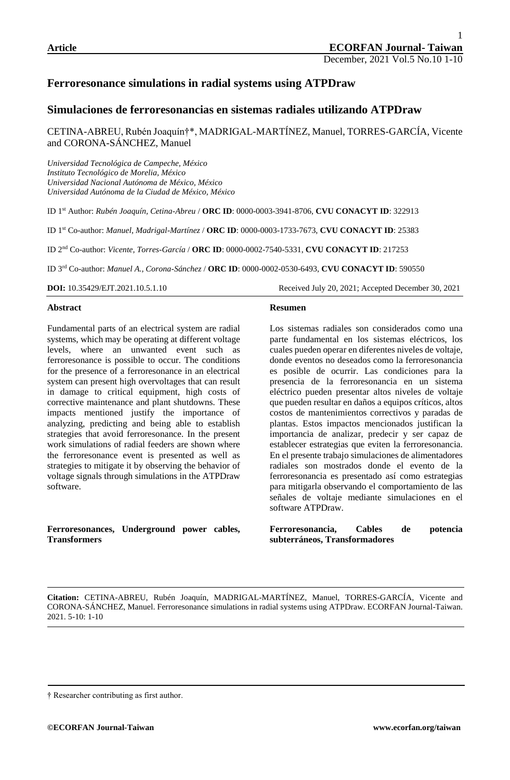# **Ferroresonance simulations in radial systems using ATPDraw**

# **Simulaciones de ferroresonancias en sistemas radiales utilizando ATPDraw**

CETINA-ABREU, Rubén Joaquín†\*, MADRIGAL-MARTÍNEZ, Manuel, TORRES-GARCÍA, Vicente and CORONA-SÁNCHEZ, Manuel

*Universidad Tecnológica de Campeche, México Instituto Tecnológico de Morelia, México Universidad Nacional Autónoma de México, México Universidad Autónoma de la Ciudad de México, México*

ID 1st Author: *Rubén Joaquín, Cetina-Abreu* / **ORC ID**: 0000-0003-3941-8706, **CVU CONACYT ID**: 322913

ID 1st Co-author: *Manuel, Madrigal-Martínez* / **ORC ID**: 0000-0003-1733-7673, **CVU CONACYT ID**: 25383

ID 2nd Co-author: *Vicente, Torres-García* / **ORC ID**: 0000-0002-7540-5331, **CVU CONACYT ID**: 217253

ID 3rd Co-author: *Manuel A., Corona-Sánchez* / **ORC ID**: 0000-0002-0530-6493, **CVU CONACYT ID**: 590550

**DOI:** 10.35429/EJT.2021.10.5.1.10 Received July 20, 2021; Accepted December 30, 2021

#### **Abstract**

Fundamental parts of an electrical system are radial systems, which may be operating at different voltage levels, where an unwanted event such as ferroresonance is possible to occur. The conditions for the presence of a ferroresonance in an electrical system can present high overvoltages that can result in damage to critical equipment, high costs of corrective maintenance and plant shutdowns. These impacts mentioned justify the importance of analyzing, predicting and being able to establish strategies that avoid ferroresonance. In the present work simulations of radial feeders are shown where the ferroresonance event is presented as well as strategies to mitigate it by observing the behavior of voltage signals through simulations in the ATPDraw software.

**Ferroresonances, Underground power cables, Transformers** 

#### **Resumen**

Los sistemas radiales son considerados como una parte fundamental en los sistemas eléctricos, los cuales pueden operar en diferentes niveles de voltaje, donde eventos no deseados como la ferroresonancia es posible de ocurrir. Las condiciones para la presencia de la ferroresonancia en un sistema eléctrico pueden presentar altos niveles de voltaje que pueden resultar en daños a equipos críticos, altos costos de mantenimientos correctivos y paradas de plantas. Estos impactos mencionados justifican la importancia de analizar, predecir y ser capaz de establecer estrategias que eviten la ferroresonancia. En el presente trabajo simulaciones de alimentadores radiales son mostrados donde el evento de la ferroresonancia es presentado así como estrategias para mitigarla observando el comportamiento de las señales de voltaje mediante simulaciones en el software ATPDraw.

**Ferroresonancia, Cables de potencia subterráneos, Transformadores**

<sup>†</sup> Researcher contributing as first author.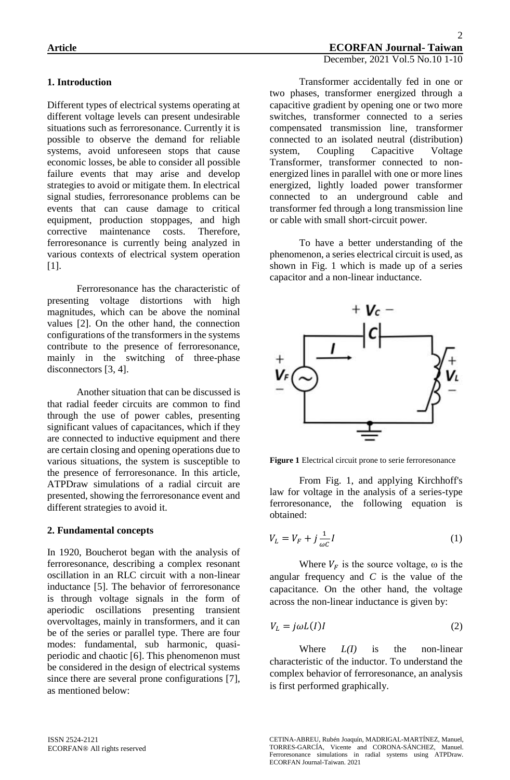## **1. Introduction**

Different types of electrical systems operating at different voltage levels can present undesirable situations such as ferroresonance. Currently it is possible to observe the demand for reliable systems, avoid unforeseen stops that cause economic losses, be able to consider all possible failure events that may arise and develop strategies to avoid or mitigate them. In electrical signal studies, ferroresonance problems can be events that can cause damage to critical equipment, production stoppages, and high corrective maintenance costs. Therefore, ferroresonance is currently being analyzed in various contexts of electrical system operation [1].

 Ferroresonance has the characteristic of presenting voltage distortions with high magnitudes, which can be above the nominal values [2]. On the other hand, the connection configurations of the transformers in the systems contribute to the presence of ferroresonance, mainly in the switching of three-phase disconnectors [3, 4].

Another situation that can be discussed is that radial feeder circuits are common to find through the use of power cables, presenting significant values of capacitances, which if they are connected to inductive equipment and there are certain closing and opening operations due to various situations, the system is susceptible to the presence of ferroresonance. In this article, ATPDraw simulations of a radial circuit are presented, showing the ferroresonance event and different strategies to avoid it.

#### **2. Fundamental concepts**

In 1920, Boucherot began with the analysis of ferroresonance, describing a complex resonant oscillation in an RLC circuit with a non-linear inductance [5]. The behavior of ferroresonance is through voltage signals in the form of aperiodic oscillations presenting transient overvoltages, mainly in transformers, and it can be of the series or parallel type. There are four modes: fundamental, sub harmonic, quasiperiodic and chaotic [6]. This phenomenon must be considered in the design of electrical systems since there are several prone configurations [7], as mentioned below:

Transformer accidentally fed in one or two phases, transformer energized through a capacitive gradient by opening one or two more switches, transformer connected to a series compensated transmission line, transformer connected to an isolated neutral (distribution) system, Coupling Capacitive Voltage Transformer, transformer connected to nonenergized lines in parallel with one or more lines energized, lightly loaded power transformer connected to an underground cable and transformer fed through a long transmission line or cable with small short-circuit power.

To have a better understanding of the phenomenon, a series electrical circuit is used, as shown in Fig. 1 which is made up of a series capacitor and a non-linear inductance.



**Figure 1** Electrical circuit prone to serie ferroresonance

From Fig. 1, and applying Kirchhoff's law for voltage in the analysis of a series-type ferroresonance, the following equation is obtained:

$$
V_L = V_F + j\frac{1}{\omega c}I\tag{1}
$$

Where  $V_F$  is the source voltage,  $\omega$  is the angular frequency and *C* is the value of the capacitance. On the other hand, the voltage across the non-linear inductance is given by:

$$
V_L = j\omega L(I)I
$$
 (2)

Where *L(I)* is the non-linear characteristic of the inductor. To understand the complex behavior of ferroresonance, an analysis is first performed graphically.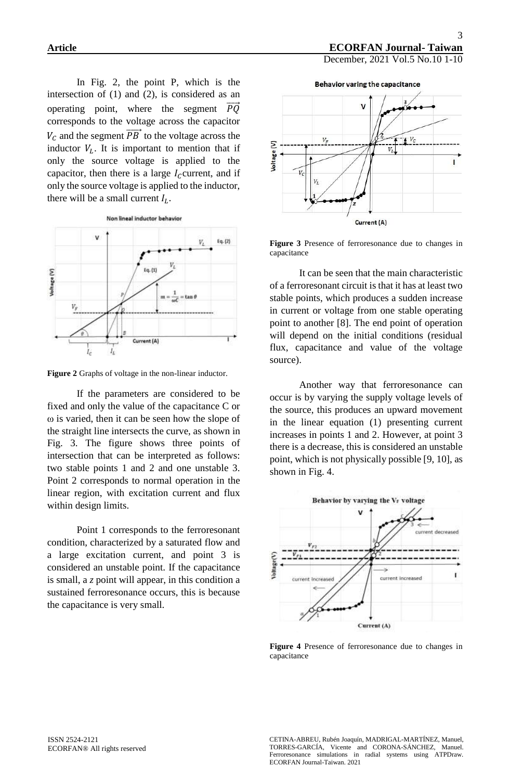In Fig. 2, the point P, which is the intersection of (1) and (2), is considered as an operating point, where the segment  $\overrightarrow{PQ}$ corresponds to the voltage across the capacitor  $V_c$  and the segment  $\overrightarrow{PB}$  to the voltage across the inductor  $V_L$ . It is important to mention that if only the source voltage is applied to the capacitor, then there is a large  $I_c$  current, and if only the source voltage is applied to the inductor, there will be a small current  $I_L$ .



**Figure 2** Graphs of voltage in the non-linear inductor.

If the parameters are considered to be fixed and only the value of the capacitance C or ω is varied, then it can be seen how the slope of the straight line intersects the curve, as shown in Fig. 3. The figure shows three points of intersection that can be interpreted as follows: two stable points 1 and 2 and one unstable 3. Point 2 corresponds to normal operation in the linear region, with excitation current and flux within design limits.

Point 1 corresponds to the ferroresonant condition, characterized by a saturated flow and a large excitation current, and point 3 is considered an unstable point. If the capacitance is small, a *z* point will appear, in this condition a sustained ferroresonance occurs, this is because the capacitance is very small.



**Figure 3** Presence of ferroresonance due to changes in capacitance

It can be seen that the main characteristic of a ferroresonant circuit is that it has at least two stable points, which produces a sudden increase in current or voltage from one stable operating point to another [8]. The end point of operation will depend on the initial conditions (residual flux, capacitance and value of the voltage source).

Another way that ferroresonance can occur is by varying the supply voltage levels of the source, this produces an upward movement in the linear equation (1) presenting current increases in points 1 and 2. However, at point 3 there is a decrease, this is considered an unstable point, which is not physically possible [9, 10], as shown in Fig. 4.



**Figure 4** Presence of ferroresonance due to changes in capacitance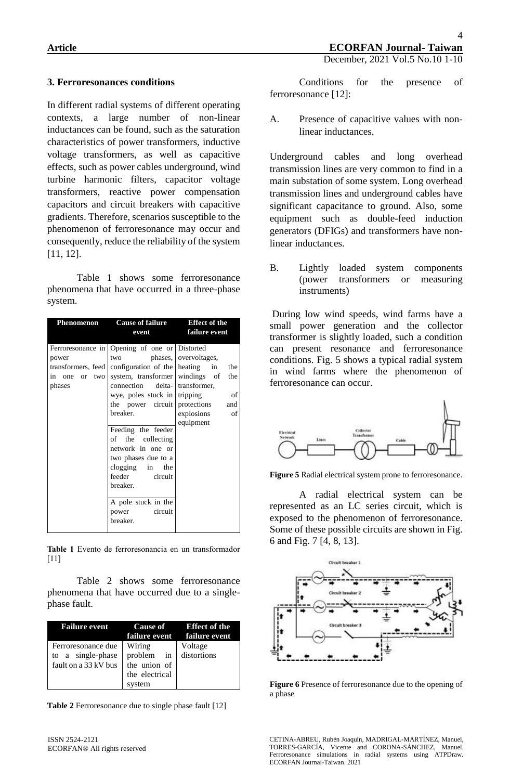### **3. Ferroresonances conditions**

In different radial systems of different operating contexts, a large number of non-linear inductances can be found, such as the saturation characteristics of power transformers, inductive voltage transformers, as well as capacitive effects, such as power cables underground, wind turbine harmonic filters, capacitor voltage transformers, reactive power compensation capacitors and circuit breakers with capacitive gradients. Therefore, scenarios susceptible to the phenomenon of ferroresonance may occur and consequently, reduce the reliability of the system [11, 12].

Table 1 shows some ferroresonance phenomena that have occurred in a three-phase system.

| Phenomenon                                                                 | <b>Cause of failure</b>                                                                                                                                                                   | <b>Effect of the</b>                            |
|----------------------------------------------------------------------------|-------------------------------------------------------------------------------------------------------------------------------------------------------------------------------------------|-------------------------------------------------|
|                                                                            | event                                                                                                                                                                                     | failure event                                   |
| power<br>transformers, feed<br>in<br>two<br>one<br><sub>or</sub><br>phases | Ferroresonance in Opening of one or Distorted<br>two<br>configuration of the heating<br>system, transformer windings of<br>connection delta- transformer,<br>wye, poles stuck in tripping | phases, overvoltages,<br>in<br>the<br>the<br>of |
|                                                                            | the power circuit protections and<br>breaker.                                                                                                                                             | explosions<br>of                                |
|                                                                            | Feeding the feeder<br>of the collecting<br>network in one or<br>two phases due to a<br>clogging in<br>the<br>feeder<br>circuit<br>breaker.                                                | equipment                                       |
|                                                                            | A pole stuck in the<br>circuit<br>power<br>breaker.                                                                                                                                       |                                                 |

**Table 1** Evento de ferroresonancia en un transformador [11]

Table 2 shows some ferroresonance phenomena that have occurred due to a singlephase fault.

| <b>Failure event</b>                    |                                | Cause of Effect of the<br>failure event failure event |
|-----------------------------------------|--------------------------------|-------------------------------------------------------|
| Ferroresonance due<br>to a single-phase | Wiring<br>problem in           | Voltage<br>distortions                                |
| fault on a 33 kV bus 1                  | the union of<br>the electrical |                                                       |
|                                         | system                         |                                                       |

**Table 2** Ferroresonance due to single phase fault [12]

A. Presence of capacitive values with nonlinear inductances.

Underground cables and long overhead transmission lines are very common to find in a main substation of some system. Long overhead transmission lines and underground cables have significant capacitance to ground. Also, some equipment such as double-feed induction generators (DFIGs) and transformers have nonlinear inductances.

B. Lightly loaded system components (power transformers or measuring instruments)

During low wind speeds, wind farms have a small power generation and the collector transformer is slightly loaded, such a condition can present resonance and ferroresonance conditions. Fig. 5 shows a typical radial system in wind farms where the phenomenon of ferroresonance can occur.



**Figure 5** Radial electrical system prone to ferroresonance.

A radial electrical system can be represented as an LC series circuit, which is exposed to the phenomenon of ferroresonance. Some of these possible circuits are shown in Fig. 6 and Fig. 7 [4, 8, 13].



**Figure 6** Presence of ferroresonance due to the opening of a phase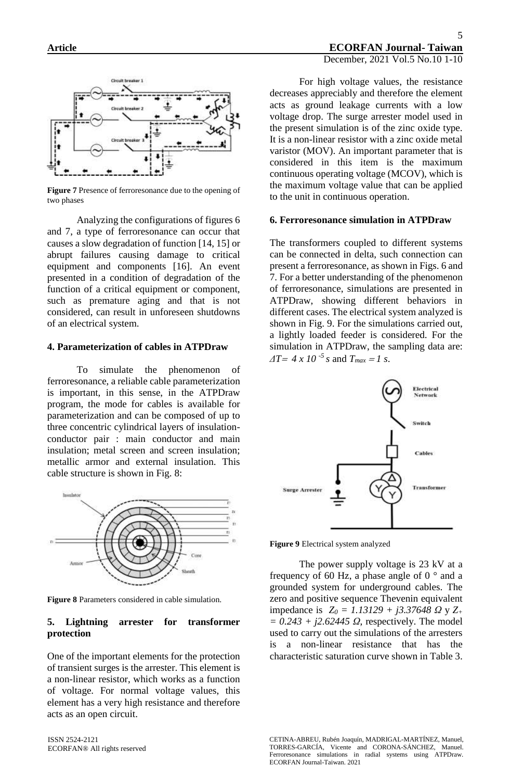

**Figure 7** Presence of ferroresonance due to the opening of two phases

Analyzing the configurations of figures 6 and 7, a type of ferroresonance can occur that causes a slow degradation of function [14, 15] or abrupt failures causing damage to critical equipment and components [16]. An event presented in a condition of degradation of the function of a critical equipment or component, such as premature aging and that is not considered, can result in unforeseen shutdowns of an electrical system.

### **4. Parameterization of cables in ATPDraw**

To simulate the phenomenon of ferroresonance, a reliable cable parameterization is important, in this sense, in the ATPDraw program, the mode for cables is available for parameterization and can be composed of up to three concentric cylindrical layers of insulationconductor pair : main conductor and main insulation; metal screen and screen insulation; metallic armor and external insulation. This cable structure is shown in Fig. 8:



**Figure 8** Parameters considered in cable simulation.

### **5. Lightning arrester for transformer protection**

One of the important elements for the protection of transient surges is the arrester. This element is a non-linear resistor, which works as a function of voltage. For normal voltage values, this element has a very high resistance and therefore acts as an open circuit.

For high voltage values, the resistance decreases appreciably and therefore the element acts as ground leakage currents with a low voltage drop. The surge arrester model used in the present simulation is of the zinc oxide type. It is a non-linear resistor with a zinc oxide metal varistor (MOV). An important parameter that is considered in this item is the maximum continuous operating voltage (MCOV), which is the maximum voltage value that can be applied to the unit in continuous operation.

#### **6. Ferroresonance simulation in ATPDraw**

The transformers coupled to different systems can be connected in delta, such connection can present a ferroresonance, as shown in Figs. 6 and 7. For a better understanding of the phenomenon of ferroresonance, simulations are presented in ATPDraw, showing different behaviors in different cases. The electrical system analyzed is shown in Fig. 9. For the simulations carried out, a lightly loaded feeder is considered. For the simulation in ATPDraw, the sampling data are:  $\Delta T = 4 \times 10^{-5}$  *s* and  $T_{max} = 1$  *s*.



**Figure 9** Electrical system analyzed

The power supply voltage is 23 kV at a frequency of 60 Hz, a phase angle of  $0^{\circ}$  and a grounded system for underground cables. The zero and positive sequence Thevenin equivalent impedance is *Z<sup>0</sup> = 1.13129 + j3.37648 Ω* y *Z<sup>+</sup> = 0.243 + j2.62445 Ω*, respectively. The model used to carry out the simulations of the arresters is a non-linear resistance that has the characteristic saturation curve shown in Table 3.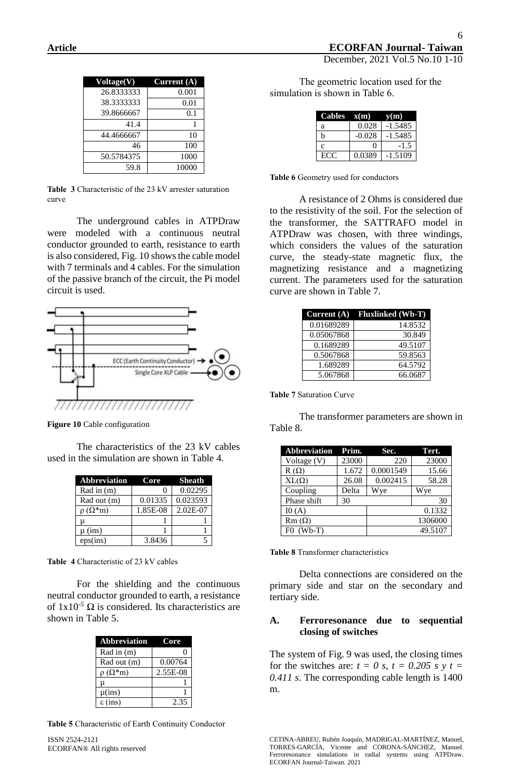| Voltage(V) | Current $\overline{A}$ |
|------------|------------------------|
| 26.8333333 | 0.001                  |
| 38.3333333 | 0.01                   |
| 39.8666667 | 0.1                    |
| 41.4       |                        |
| 44.4666667 | 10                     |
| 46         | 100                    |
| 50.5784375 | 1000                   |
| 59.8       | 10000                  |

**Table 3** Characteristic of the 23 kV arrester saturation curve

The underground cables in ATPDraw were modeled with a continuous neutral conductor grounded to earth, resistance to earth is also considered, Fig. 10 shows the cable model with 7 terminals and 4 cables. For the simulation of the passive branch of the circuit, the Pi model circuit is used.



**Figure 10** Cable configuration

The characteristics of the 23 kV cables used in the simulation are shown in Table 4.

| <b>Abbreviation</b> | Core     | <b>Sheath</b> |
|---------------------|----------|---------------|
| Rad in $(m)$        |          | 0.02295       |
| Rad out (m)         | 0.01335  | 0.023593      |
| $\rho(\Omega^*m)$   | 1.85E-08 | 2.02E-07      |
|                     |          |               |
| $\mu$ (ins)         |          |               |
| $eps-ins)$          | 3.8436   |               |

**Table 4** Characteristic of 23 kV cables

For the shielding and the continuous neutral conductor grounded to earth, a resistance of  $1x10^{-5}$   $\Omega$  is considered. Its characteristics are shown in Table 5.

| <b>Abbreviation</b> | Core     |
|---------------------|----------|
| Rad in (m)          |          |
| Rad out (m)         | 0.00764  |
| $\rho(\Omega^*m)$   | 2.55E-08 |
| μ                   |          |
| $\mu$ (ins)         |          |
| $\epsilon$ (ins)    | 2.35     |

**Table 5** Characteristic of Earth Continuity Conductor

ISSN 2524-2121 ECORFAN® All rights reserved

The geometric location used for the simulation is shown in Table 6.

| Cables $x(m)$ |          | y(m)      |
|---------------|----------|-----------|
| a             | 0.028    | -1.5485   |
| h             | $-0.028$ | $-1.5485$ |
| с             | 0        | -15       |
| ECC           | 0.0389   | $-1.5109$ |

**Table 6** Geometry used for conductors

A resistance of 2 Ohms is considered due to the resistivity of the soil. For the selection of the transformer, the SATTRAFO model in ATPDraw was chosen, with three windings, which considers the values of the saturation curve, the steady-state magnetic flux, the magnetizing resistance and a magnetizing current. The parameters used for the saturation curve are shown in Table 7.

| Current $(A)$ | <b>Fluxlinked (Wb-T)</b> |
|---------------|--------------------------|
| 0.01689289    | 14.8532                  |
| 0.05067868    | 30.849                   |
| 0.1689289     | 49.5107                  |
| 0.5067868     | 59.8563                  |
| 1.689289      | 64.5792                  |
| 5.067868      | 66.0687                  |

**Table 7** Saturation Curve

The transformer parameters are shown in Table 8.

| <b>Abbreviation</b> | Prim. | Sec.      | Tert.   |
|---------------------|-------|-----------|---------|
| Voltage (V)         | 23000 | 220       | 23000   |
| $R(\Omega)$         | 1.672 | 0.0001549 | 15.66   |
| $XL(\Omega)$        | 26.08 | 0.002415  | 58.28   |
| Coupling            | Delta | Wye       | Wye     |
| Phase shift         | 30    |           | 30      |
| IO(A)               |       |           | 0.1332  |
| $Rm(\Omega)$        |       |           | 1306000 |
| $(Wb-T)$            |       |           | 49.5107 |

**Table 8** Transformer characteristics

Delta connections are considered on the primary side and star on the secondary and tertiary side.

### **A. Ferroresonance due to sequential closing of switches**

The system of Fig. 9 was used, the closing times for the switches are:  $t = 0$  s,  $t = 0.205$  s y  $t =$ *0.411 s*. The corresponding cable length is 1400 m.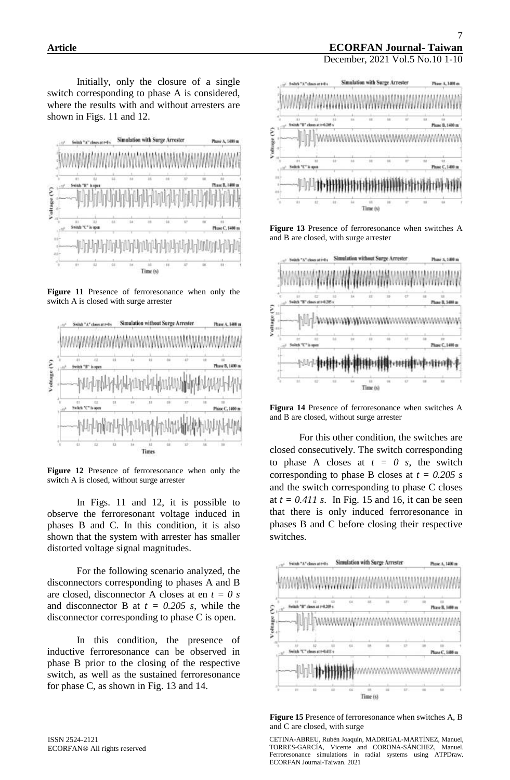Initially, only the closure of a single switch corresponding to phase A is considered, where the results with and without arresters are shown in Figs. 11 and 12.



**Figure 11** Presence of ferroresonance when only the switch A is closed with surge arrester



**Figure 12** Presence of ferroresonance when only the switch A is closed, without surge arrester

In Figs. 11 and 12, it is possible to observe the ferroresonant voltage induced in phases B and C. In this condition, it is also shown that the system with arrester has smaller distorted voltage signal magnitudes.

For the following scenario analyzed, the disconnectors corresponding to phases A and B are closed, disconnector A closes at en *t = 0 s* and disconnector B at  $t = 0.205$  s, while the disconnector corresponding to phase C is open.

In this condition, the presence of inductive ferroresonance can be observed in phase B prior to the closing of the respective switch, as well as the sustained ferroresonance for phase C, as shown in Fig. 13 and 14.



**Figure 13** Presence of ferroresonance when switches A and B are closed, with surge arrester



**Figura 14** Presence of ferroresonance when switches A and B are closed, without surge arrester

For this other condition, the switches are closed consecutively. The switch corresponding to phase A closes at  $t = 0$  s, the switch corresponding to phase B closes at *t = 0.205 s* and the switch corresponding to phase C closes at  $t = 0.411$  s. In Fig. 15 and 16, it can be seen that there is only induced ferroresonance in phases B and C before closing their respective switches.



**Figure 15** Presence of ferroresonance when switches A, B and C are closed, with surge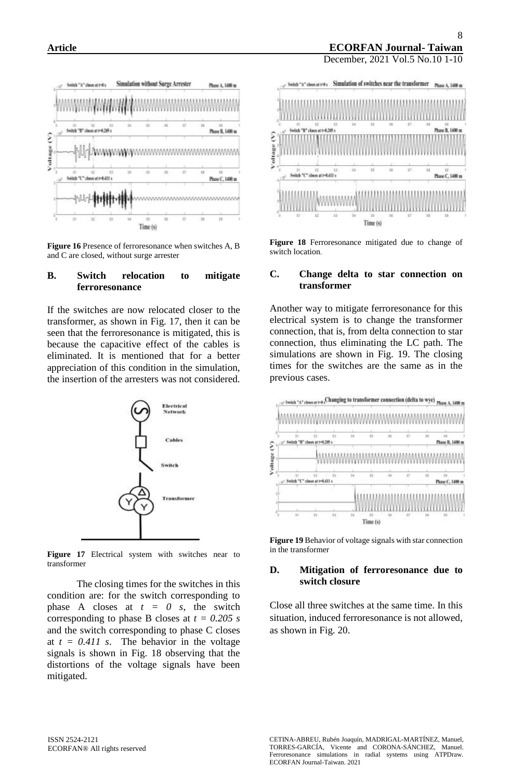

**Figure 16** Presence of ferroresonance when switches A, B and C are closed, without surge arrester

### **B. Switch relocation to mitigate ferroresonance**

If the switches are now relocated closer to the transformer, as shown in Fig. 17, then it can be seen that the ferroresonance is mitigated, this is because the capacitive effect of the cables is eliminated. It is mentioned that for a better appreciation of this condition in the simulation, the insertion of the arresters was not considered.



**Figure 17** Electrical system with switches near to transformer

The closing times for the switches in this condition are: for the switch corresponding to phase A closes at  $t = 0$  s, the switch corresponding to phase B closes at *t = 0.205 s* and the switch corresponding to phase C closes at  $t = 0.411$  s. The behavior in the voltage signals is shown in Fig. 18 observing that the distortions of the voltage signals have been mitigated.





**Figure 18** Ferroresonance mitigated due to change of switch location.

### **C. Change delta to star connection on transformer**

Another way to mitigate ferroresonance for this electrical system is to change the transformer connection, that is, from delta connection to star connection, thus eliminating the LC path. The simulations are shown in Fig. 19. The closing times for the switches are the same as in the previous cases.



**Figure 19** Behavior of voltage signals with star connection in the transformer

#### **D. Mitigation of ferroresonance due to switch closure**

Close all three switches at the same time. In this situation, induced ferroresonance is not allowed, as shown in Fig. 20.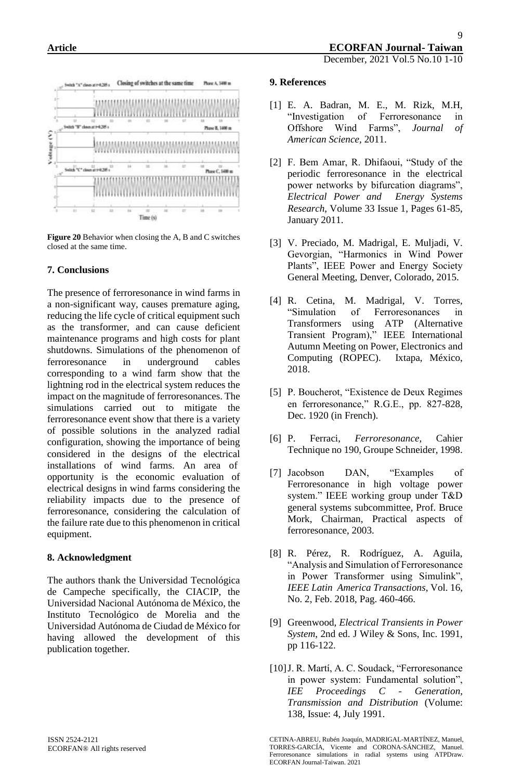

**Figure 20** Behavior when closing the A, B and C switches closed at the same time.

## **7. Conclusions**

The presence of ferroresonance in wind farms in a non-significant way, causes premature aging, reducing the life cycle of critical equipment such as the transformer, and can cause deficient maintenance programs and high costs for plant shutdowns. Simulations of the phenomenon of ferroresonance in underground cables corresponding to a wind farm show that the lightning rod in the electrical system reduces the impact on the magnitude of ferroresonances. The simulations carried out to mitigate the ferroresonance event show that there is a variety of possible solutions in the analyzed radial configuration, showing the importance of being considered in the designs of the electrical installations of wind farms. An area of opportunity is the economic evaluation of electrical designs in wind farms considering the reliability impacts due to the presence of ferroresonance, considering the calculation of the failure rate due to this phenomenon in critical equipment.

### **8. Acknowledgment**

The authors thank the Universidad Tecnológica de Campeche specifically, the CIACIP, the Universidad Nacional Autónoma de México, the Instituto Tecnológico de Morelia and the Universidad Autónoma de Ciudad de México for having allowed the development of this publication together.

- [1] E. A. Badran, M. E., M. Rizk, M.H, "Investigation of Ferroresonance in Offshore Wind Farms", *Journal of American Science,* 2011.
- [2] F. Bem Amar, R. Dhifaoui, "Study of the periodic ferroresonance in the electrical power networks by bifurcation diagrams", *Electrical Power and Energy Systems Research*, Volume 33 Issue 1, Pages 61-85, January 2011.
- [3] V. Preciado, M. Madrigal, E. Muljadi, V. Gevorgian, "Harmonics in Wind Power Plants", IEEE Power and Energy Society General Meeting, Denver, Colorado, 2015.
- [4] R. Cetina, M. Madrigal, V. Torres, "Simulation of Ferroresonances in Transformers using ATP (Alternative Transient Program)," IEEE International Autumn Meeting on Power, Electronics and Computing (ROPEC). Ixtapa, México, 2018.
- [5] P. Boucherot, "Existence de Deux Regimes en ferroresonance," R.G.E., pp. 827-828, Dec. 1920 (in French).
- [6] P. Ferraci, *Ferroresonance,* Cahier Technique no 190, Groupe Schneider, 1998.
- [7] Jacobson DAN, "Examples of Ferroresonance in high voltage power system." IEEE working group under T&D general systems subcommittee, Prof. Bruce Mork, Chairman, Practical aspects of ferroresonance, 2003.
- [8] R. Pérez, R. Rodríguez, A. Aguila, "Analysis and Simulation of Ferroresonance in Power Transformer using Simulink", *IEEE Latin America Transactions*, Vol. 16, No. 2, Feb. 2018, Pag. 460-466.
- [9] Greenwood, *Electrical Transients in Power System*, 2nd ed. J Wiley & Sons, Inc. 1991, pp 116-122.
- [10]J. R. Martí, A. C. Soudack, "Ferroresonance in power system: Fundamental solution", *IEE Proceedings C - Generation, Transmission and Distribution* (Volume: 138, Issue: 4, July 1991.